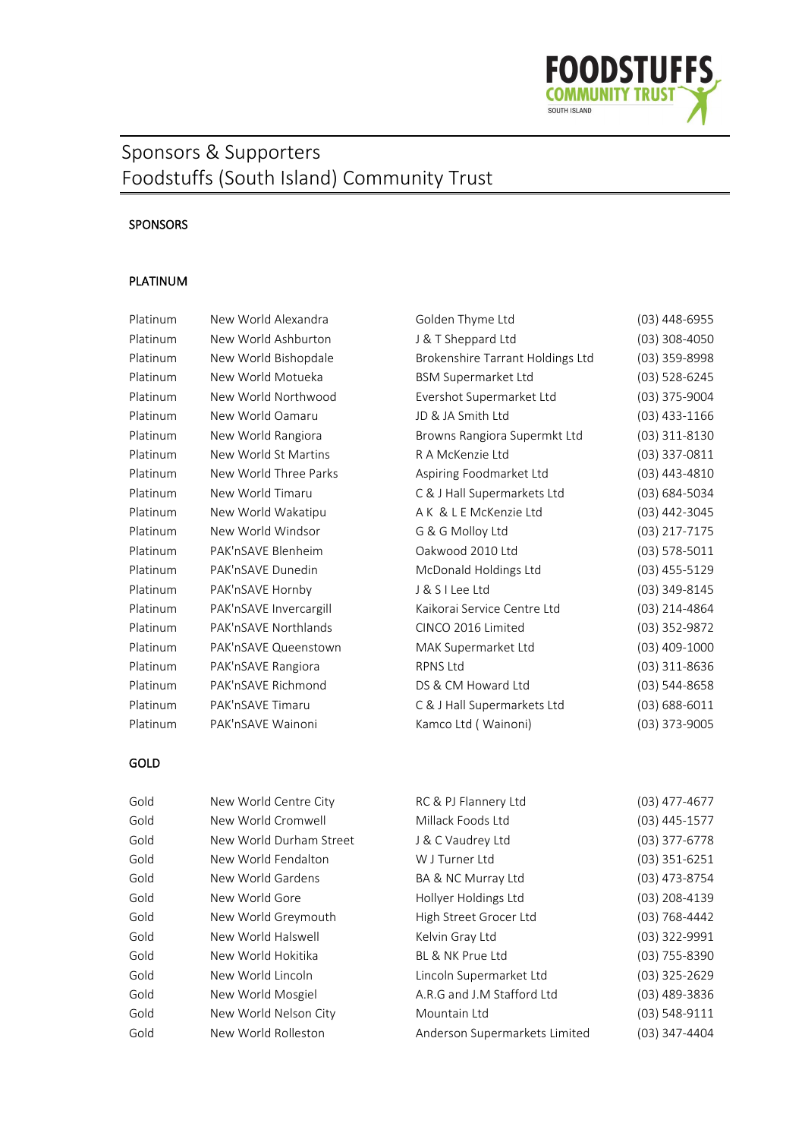

# Sponsors & Supporters Foodstuffs (South Island) Community Trust

#### SPONSORS

#### PLATINUM

Platinum New World Alexandra Platinum New World Ashburton Platinum New World Bishopdale Platinum New World Motueka Platinum New World Northwood Platinum New World Oamaru Platinum New World Rangiora Platinum New World St Martins Platinum New World Three Parks Platinum New World Timaru Platinum New World Wakatipu Platinum New World Windsor Platinum PAK'nSAVE Blenheim Platinum PAK'nSAVE Dunedin Platinum PAK'nSAVE Hornby Platinum PAK'nSAVE Invercargill Platinum PAK'nSAVE Northlands Platinum PAK'nSAVE Queenstown Platinum PAK'nSAVE Rangiora Platinum PAK'nSAVE Richmond Platinum PAK'nSAVE Timaru Platinum PAK'nSAVE Wainoni

| Golden Thyme Ltd                 | $(03)$ 448-6955   |
|----------------------------------|-------------------|
| J & T Sheppard Ltd               | $(03)$ 308-4050   |
| Brokenshire Tarrant Holdings Ltd | $(03)$ 359-8998   |
| <b>BSM Supermarket Ltd</b>       | $(03)$ 528-6245   |
| Evershot Supermarket Ltd         | $(03)$ 375-9004   |
| JD & JA Smith Ltd                | $(03)$ 433-1166   |
| Browns Rangiora Supermkt Ltd     | (03) 311-8130     |
| R A McKenzie Ltd                 | $(03)$ 337-0811   |
| Aspiring Foodmarket Ltd          | $(03)$ 443-4810   |
| C & J Hall Supermarkets Ltd      | (03) 684-5034     |
| AK & L E McKenzie Ltd            | $(03)$ 442-3045   |
| G & G Molloy Ltd                 | (03) 217-7175     |
| Oakwood 2010 Ltd                 | $(03) 578 - 5011$ |
| McDonald Holdings Ltd            | $(03)$ 455-5129   |
| J & S I Lee Ltd                  | (03) 349-8145     |
| Kaikorai Service Centre Ltd      | $(03)$ 214-4864   |
| CINCO 2016 Limited               | $(03)$ 352-9872   |
| MAK Supermarket Ltd              | $(03)$ 409-1000   |
| <b>RPNS Ltd</b>                  | (03) 311-8636     |
| DS & CM Howard Ltd               | $(03) 544 - 8658$ |
| C & J Hall Supermarkets Ltd      | $(03) 688 - 6011$ |
| Kamco Ltd (Wainoni)              | (03) 373-9005     |

### GOLD

| Gold | New World Centre City   | RC & PJ Flannery Ltd          | $(03)$ 477-4677 |
|------|-------------------------|-------------------------------|-----------------|
| Gold | New World Cromwell      | Millack Foods Ltd             | $(03)$ 445-1577 |
| Gold | New World Durham Street | J & C Vaudrey Ltd             | $(03)$ 377-6778 |
| Gold | New World Fendalton     | W J Turner Ltd                | $(03)$ 351-6251 |
| Gold | New World Gardens       | BA & NC Murray Ltd            | $(03)$ 473-8754 |
| Gold | New World Gore          | Hollyer Holdings Ltd          | $(03)$ 208-4139 |
| Gold | New World Greymouth     | High Street Grocer Ltd        | $(03)$ 768-4442 |
| Gold | New World Halswell      | Kelvin Gray Ltd               | (03) 322-9991   |
| Gold | New World Hokitika      | BL & NK Prue Ltd              | $(03)$ 755-8390 |
| Gold | New World Lincoln       | Lincoln Supermarket Ltd       | $(03)$ 325-2629 |
| Gold | New World Mosgiel       | A.R.G and J.M Stafford Ltd    | $(03)$ 489-3836 |
| Gold | New World Nelson City   | Mountain Ltd                  | $(03)$ 548-9111 |
| Gold | New World Rolleston     | Anderson Supermarkets Limited | $(03)$ 347-4404 |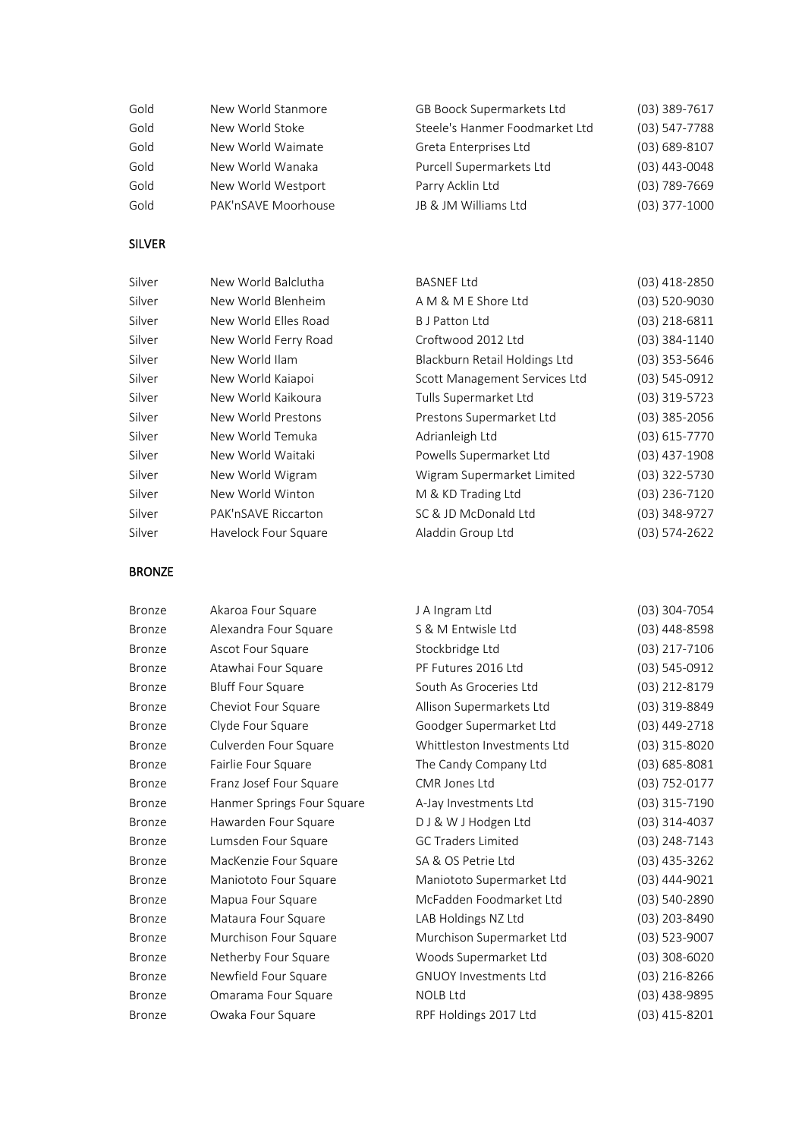| New World Stanmore  | GB Boock Supermarkets Ltd      | $(03)$ 389-7617   |
|---------------------|--------------------------------|-------------------|
| New World Stoke     | Steele's Hanmer Foodmarket Ltd | $(03)$ 547-7788   |
| New World Waimate   | Greta Enterprises Ltd          | $(03) 689 - 8107$ |
| New World Wanaka    | Purcell Supermarkets Ltd       | $(03)$ 443-0048   |
| New World Westport  | Parry Acklin Ltd               | $(03)$ 789-7669   |
| PAK'nSAVE Moorhouse | JB & JM Williams Ltd           | $(03)$ 377-1000   |
|                     |                                |                   |

### SILVER

| Silver | New World Balclutha  | <b>BASNEF Ltd</b>             | $(03)$ 418-2850   |
|--------|----------------------|-------------------------------|-------------------|
| Silver | New World Blenheim   | A M & M E Shore Ltd           | $(03)$ 520-9030   |
| Silver | New World Elles Road | <b>B</b> J Patton Ltd         | $(03)$ 218-6811   |
| Silver | New World Ferry Road | Croftwood 2012 Ltd            | $(03)$ 384-1140   |
| Silver | New World Ilam       | Blackburn Retail Holdings Ltd | $(03)$ 353-5646   |
| Silver | New World Kaiapoi    | Scott Management Services Ltd | $(03) 545 - 0912$ |
| Silver | New World Kaikoura   | Tulls Supermarket Ltd         | $(03)$ 319-5723   |
| Silver | New World Prestons   | Prestons Supermarket Ltd      | $(03)$ 385-2056   |
| Silver | New World Temuka     | Adrianleigh Ltd               | $(03)$ 615-7770   |
| Silver | New World Waitaki    | Powells Supermarket Ltd       | $(03)$ 437-1908   |
| Silver | New World Wigram     | Wigram Supermarket Limited    | $(03)$ 322-5730   |
| Silver | New World Winton     | M & KD Trading Ltd            | $(03)$ 236-7120   |
| Silver | PAK'nSAVE Riccarton  | SC & JD McDonald Ltd          | $(03)$ 348-9727   |
| Silver | Havelock Four Square | Aladdin Group Ltd             | $(03)$ 574-2622   |

## BRONZE

| Bronze | Akaroa Four Square         | J A Ingram Ltd               | (03) 304-7054     |
|--------|----------------------------|------------------------------|-------------------|
| Bronze | Alexandra Four Square      | S & M Entwisle Ltd           | $(03)$ 448-8598   |
| Bronze | Ascot Four Square          | Stockbridge Ltd              | $(03)$ 217-7106   |
| Bronze | Atawhai Four Square        | PF Futures 2016 Ltd          | $(03) 545 - 0912$ |
| Bronze | <b>Bluff Four Square</b>   | South As Groceries Ltd       | (03) 212-8179     |
| Bronze | Cheviot Four Square        | Allison Supermarkets Ltd     | (03) 319-8849     |
| Bronze | Clyde Four Square          | Goodger Supermarket Ltd      | $(03)$ 449-2718   |
| Bronze | Culverden Four Square      | Whittleston Investments Ltd  | $(03)$ 315-8020   |
| Bronze | Fairlie Four Square        | The Candy Company Ltd        | $(03) 685 - 8081$ |
| Bronze | Franz Josef Four Square    | CMR Jones Ltd                | $(03) 752 - 0177$ |
| Bronze | Hanmer Springs Four Square | A-Jay Investments Ltd        | $(03)$ 315-7190   |
| Bronze | Hawarden Four Square       | D J & W J Hodgen Ltd         | $(03)$ 314-4037   |
| Bronze | Lumsden Four Square        | <b>GC Traders Limited</b>    | $(03)$ 248-7143   |
| Bronze | MacKenzie Four Square      | SA & OS Petrie Ltd           | $(03)$ 435-3262   |
| Bronze | Maniototo Four Square      | Maniototo Supermarket Ltd    | $(03)$ 444-9021   |
| Bronze | Mapua Four Square          | McFadden Foodmarket Ltd      | (03) 540-2890     |
| Bronze | Mataura Four Square        | LAB Holdings NZ Ltd          | (03) 203-8490     |
| Bronze | Murchison Four Square      | Murchison Supermarket Ltd    | $(03)$ 523-9007   |
| Bronze | Netherby Four Square       | Woods Supermarket Ltd        | $(03)$ 308-6020   |
| Bronze | Newfield Four Square       | <b>GNUOY Investments Ltd</b> | $(03)$ 216-8266   |
| Bronze | Omarama Four Square        | <b>NOLB Ltd</b>              | $(03)$ 438-9895   |
| Bronze | Owaka Four Square          | RPF Holdings 2017 Ltd        | (03) 415-8201     |